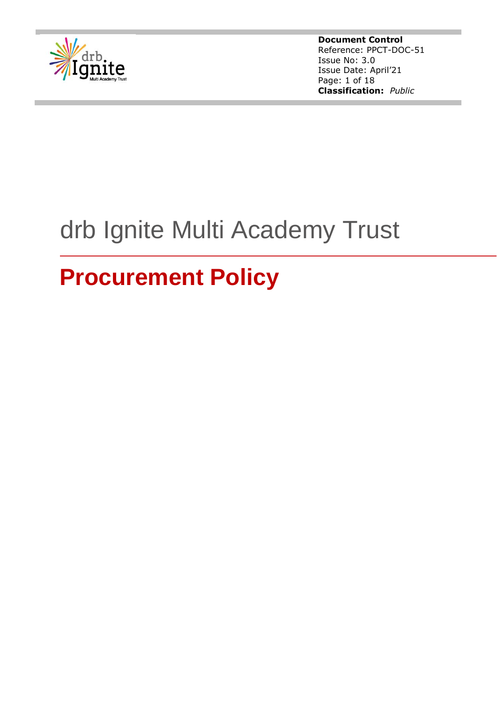

**Document Control** Reference: PPCT-DOC-51 Issue No: 3.0 Issue Date: April'21 Page: 1 of 18 **Classification:** *Public*

# drb Ignite Multi Academy Trust

# **Procurement Policy**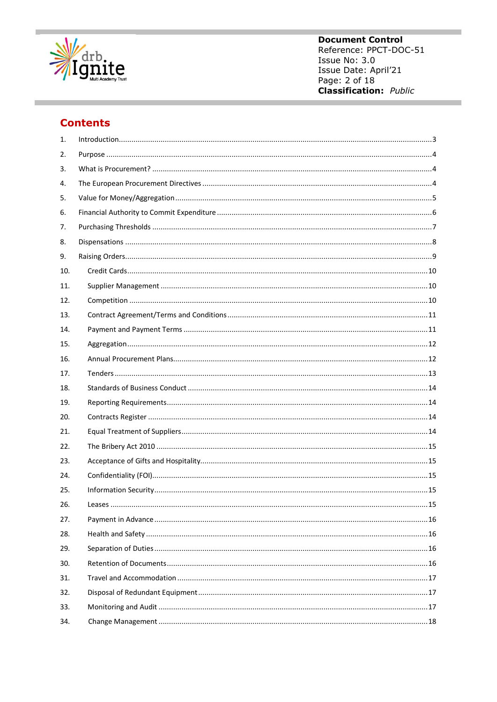

**Document Control** Reference: PPCT-DOC-51 Issue No: 3.0 Issue Date: April'21 Page: 2 of 18 **Classification:** Public

# **Contents**

| 1.  |  |
|-----|--|
| 2.  |  |
| 3.  |  |
| 4.  |  |
| 5.  |  |
| 6.  |  |
| 7.  |  |
| 8.  |  |
| 9.  |  |
| 10. |  |
| 11. |  |
| 12. |  |
| 13. |  |
| 14. |  |
| 15. |  |
| 16. |  |
| 17. |  |
| 18. |  |
| 19. |  |
| 20. |  |
| 21. |  |
| 22. |  |
| 23. |  |
| 24. |  |
| 25. |  |
| 26. |  |
| 27. |  |
| 28. |  |
| 29. |  |
| 30. |  |
| 31. |  |
| 32. |  |
| 33. |  |
| 34. |  |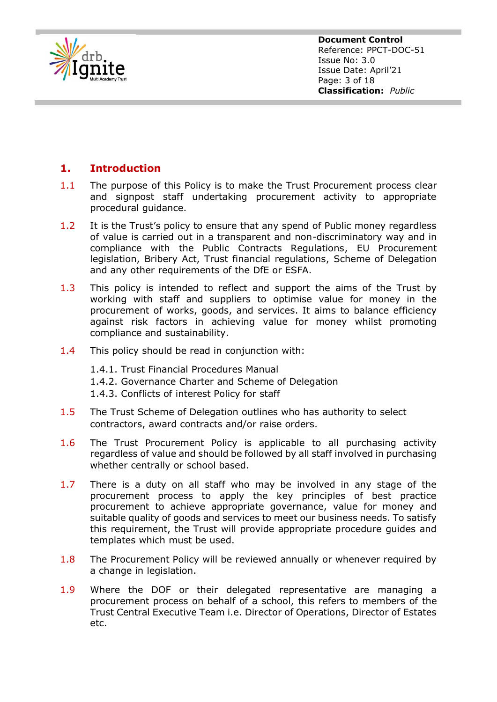

**Document Control** Reference: PPCT-DOC-51 Issue No: 3.0 Issue Date: April'21 Page: 3 of 18 **Classification:** *Public*

# <span id="page-2-0"></span>**1. Introduction**

- 1.1 The purpose of this Policy is to make the Trust Procurement process clear and signpost staff undertaking procurement activity to appropriate procedural guidance.
- 1.2 It is the Trust's policy to ensure that any spend of Public money regardless of value is carried out in a transparent and non-discriminatory way and in compliance with the Public Contracts Regulations, EU Procurement legislation, Bribery Act, Trust financial regulations, Scheme of Delegation and any other requirements of the DfE or ESFA.
- 1.3 This policy is intended to reflect and support the aims of the Trust by working with staff and suppliers to optimise value for money in the procurement of works, goods, and services. It aims to balance efficiency against risk factors in achieving value for money whilst promoting compliance and sustainability.
- 1.4 This policy should be read in conjunction with:
	- 1.4.1. Trust Financial Procedures Manual
	- 1.4.2. Governance Charter and Scheme of Delegation
	- 1.4.3. Conflicts of interest Policy for staff
- 1.5 The Trust Scheme of Delegation outlines who has authority to select contractors, award contracts and/or raise orders.
- 1.6 The Trust Procurement Policy is applicable to all purchasing activity regardless of value and should be followed by all staff involved in purchasing whether centrally or school based.
- 1.7 There is a duty on all staff who may be involved in any stage of the procurement process to apply the key principles of best practice procurement to achieve appropriate governance, value for money and suitable quality of goods and services to meet our business needs. To satisfy this requirement, the Trust will provide appropriate procedure guides and templates which must be used.
- 1.8 The Procurement Policy will be reviewed annually or whenever required by a change in legislation.
- 1.9 Where the DOF or their delegated representative are managing a procurement process on behalf of a school, this refers to members of the Trust Central Executive Team i.e. Director of Operations, Director of Estates etc.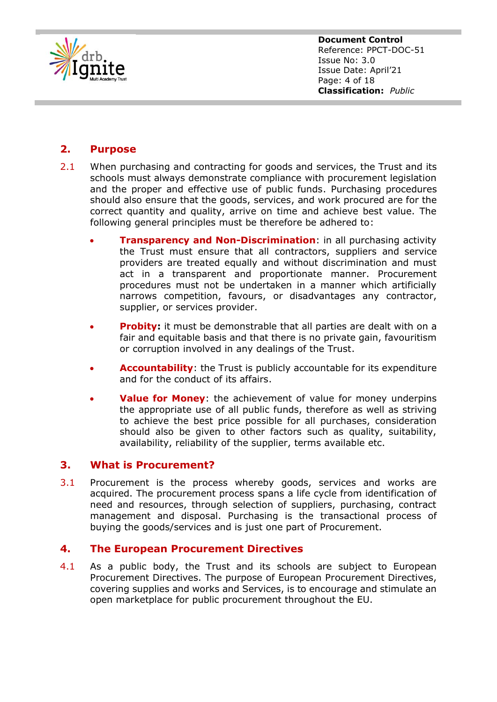

**Document Control** Reference: PPCT-DOC-51 Issue No: 3.0 Issue Date: April'21 Page: 4 of 18 **Classification:** *Public*

### <span id="page-3-0"></span>**2. Purpose**

- 2.1 When purchasing and contracting for goods and services, the Trust and its schools must always demonstrate compliance with procurement legislation and the proper and effective use of public funds. Purchasing procedures should also ensure that the goods, services, and work procured are for the correct quantity and quality, arrive on time and achieve best value. The following general principles must be therefore be adhered to:
	- **Transparency and Non-Discrimination**: in all purchasing activity the Trust must ensure that all contractors, suppliers and service providers are treated equally and without discrimination and must act in a transparent and proportionate manner. Procurement procedures must not be undertaken in a manner which artificially narrows competition, favours, or disadvantages any contractor, supplier, or services provider.
	- **Probity:** it must be demonstrable that all parties are dealt with on a fair and equitable basis and that there is no private gain, favouritism or corruption involved in any dealings of the Trust.
	- **Accountability**: the Trust is publicly accountable for its expenditure and for the conduct of its affairs.
	- **Value for Money:** the achievement of value for money underpins the appropriate use of all public funds, therefore as well as striving to achieve the best price possible for all purchases, consideration should also be given to other factors such as quality, suitability, availability, reliability of the supplier, terms available etc.

#### <span id="page-3-1"></span>**3. What is Procurement?**

3.1 Procurement is the process whereby goods, services and works are acquired. The procurement process spans a life cycle from identification of need and resources, through selection of suppliers, purchasing, contract management and disposal. Purchasing is the transactional process of buying the goods/services and is just one part of Procurement.

#### <span id="page-3-2"></span>**4. The European Procurement Directives**

4.1 As a public body, the Trust and its schools are subject to European Procurement Directives. The purpose of European Procurement Directives, covering supplies and works and Services, is to encourage and stimulate an open marketplace for public procurement throughout the EU.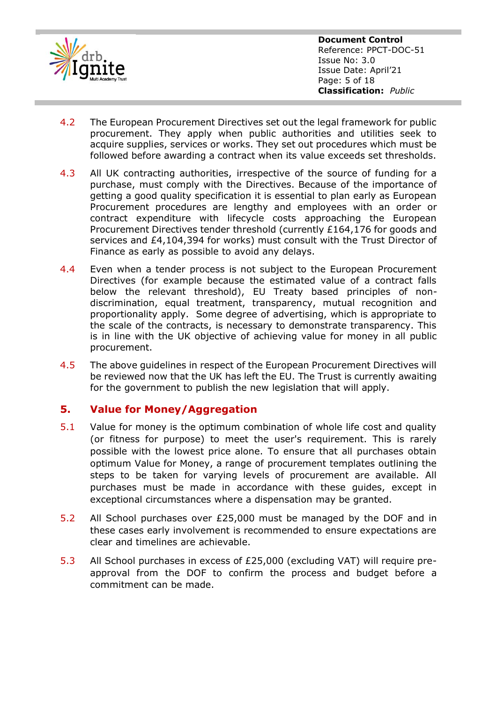

**Document Control** Reference: PPCT-DOC-51 Issue No: 3.0 Issue Date: April'21 Page: 5 of 18 **Classification:** *Public*

- 4.2 The European Procurement Directives set out the legal framework for public procurement. They apply when public authorities and utilities seek to acquire supplies, services or works. They set out procedures which must be followed before awarding a contract when its value exceeds set thresholds.
- 4.3 All UK contracting authorities, irrespective of the source of funding for a purchase, must comply with the Directives. Because of the importance of getting a good quality specification it is essential to plan early as European Procurement procedures are lengthy and employees with an order or contract expenditure with lifecycle costs approaching the European Procurement Directives tender threshold (currently £164,176 for goods and services and £4,104,394 for works) must consult with the Trust Director of Finance as early as possible to avoid any delays.
- 4.4 Even when a tender process is not subject to the European Procurement Directives (for example because the estimated value of a contract falls below the relevant threshold), EU Treaty based principles of nondiscrimination, equal treatment, transparency, mutual recognition and proportionality apply. Some degree of advertising, which is appropriate to the scale of the contracts, is necessary to demonstrate transparency. This is in line with the UK objective of achieving value for money in all public procurement.
- 4.5 The above guidelines in respect of the European Procurement Directives will be reviewed now that the UK has left the EU. The Trust is currently awaiting for the government to publish the new legislation that will apply.

#### <span id="page-4-0"></span>**5. Value for Money/Aggregation**

- 5.1 Value for money is the optimum combination of whole life cost and quality (or fitness for purpose) to meet the user's requirement. This is rarely possible with the lowest price alone. To ensure that all purchases obtain optimum Value for Money, a range of procurement templates outlining the steps to be taken for varying levels of procurement are available. All purchases must be made in accordance with these guides, except in exceptional circumstances where a dispensation may be granted.
- 5.2 All School purchases over £25,000 must be managed by the DOF and in these cases early involvement is recommended to ensure expectations are clear and timelines are achievable.
- 5.3 All School purchases in excess of £25,000 (excluding VAT) will require preapproval from the DOF to confirm the process and budget before a commitment can be made.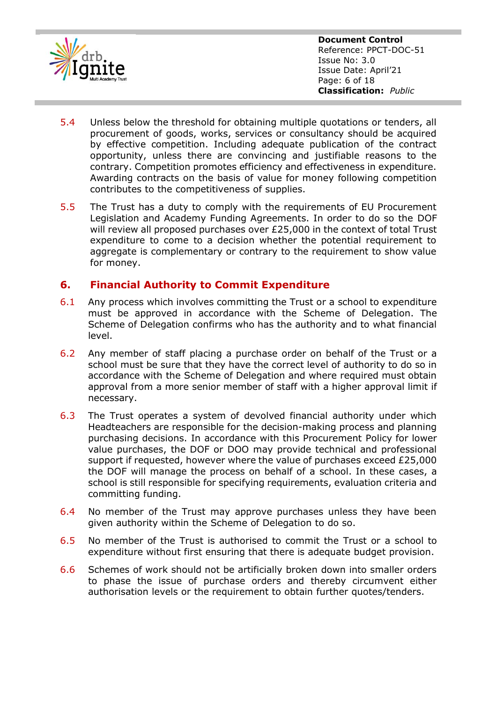

- 5.4 Unless below the threshold for obtaining multiple quotations or tenders, all procurement of goods, works, services or consultancy should be acquired by effective competition. Including adequate publication of the contract opportunity, unless there are convincing and justifiable reasons to the contrary. Competition promotes efficiency and effectiveness in expenditure. Awarding contracts on the basis of value for money following competition contributes to the competitiveness of supplies.
- 5.5 The Trust has a duty to comply with the requirements of EU Procurement Legislation and Academy Funding Agreements. In order to do so the DOF will review all proposed purchases over £25,000 in the context of total Trust expenditure to come to a decision whether the potential requirement to aggregate is complementary or contrary to the requirement to show value for money.

#### <span id="page-5-0"></span>**6. Financial Authority to Commit Expenditure**

- 6.1 Any process which involves committing the Trust or a school to expenditure must be approved in accordance with the Scheme of Delegation. The Scheme of Delegation confirms who has the authority and to what financial level.
- 6.2 Any member of staff placing a purchase order on behalf of the Trust or a school must be sure that they have the correct level of authority to do so in accordance with the Scheme of Delegation and where required must obtain approval from a more senior member of staff with a higher approval limit if necessary.
- 6.3 The Trust operates a system of devolved financial authority under which Headteachers are responsible for the decision-making process and planning purchasing decisions. In accordance with this Procurement Policy for lower value purchases, the DOF or DOO may provide technical and professional support if requested, however where the value of purchases exceed £25,000 the DOF will manage the process on behalf of a school. In these cases, a school is still responsible for specifying requirements, evaluation criteria and committing funding.
- 6.4 No member of the Trust may approve purchases unless they have been given authority within the Scheme of Delegation to do so.
- 6.5 No member of the Trust is authorised to commit the Trust or a school to expenditure without first ensuring that there is adequate budget provision.
- 6.6 Schemes of work should not be artificially broken down into smaller orders to phase the issue of purchase orders and thereby circumvent either authorisation levels or the requirement to obtain further quotes/tenders.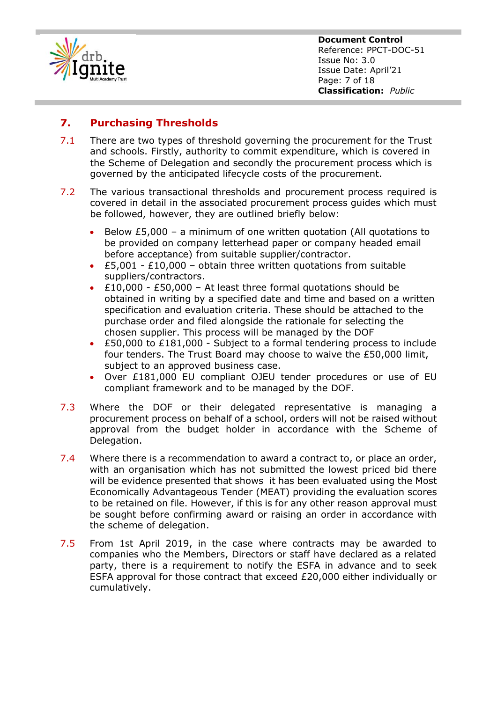

**Document Control** Reference: PPCT-DOC-51 Issue No: 3.0 Issue Date: April'21 Page: 7 of 18 **Classification:** *Public*

# <span id="page-6-0"></span>**7. Purchasing Thresholds**

- 7.1 There are two types of threshold governing the procurement for the Trust and schools. Firstly, authority to commit expenditure, which is covered in the Scheme of Delegation and secondly the procurement process which is governed by the anticipated lifecycle costs of the procurement.
- 7.2 The various transactional thresholds and procurement process required is covered in detail in the associated procurement process guides which must be followed, however, they are outlined briefly below:
	- Below  $£5,000 a$  minimum of one written quotation (All quotations to be provided on company letterhead paper or company headed email before acceptance) from suitable supplier/contractor.
	- $£5,001 £10,000 obtain three written quotations from suitable$ suppliers/contractors.
	- £10,000 £50,000 At least three formal quotations should be obtained in writing by a specified date and time and based on a written specification and evaluation criteria. These should be attached to the purchase order and filed alongside the rationale for selecting the chosen supplier. This process will be managed by the DOF
	- £50,000 to £181,000 Subject to a formal tendering process to include four tenders. The Trust Board may choose to waive the £50,000 limit, subject to an approved business case.
	- Over £181,000 EU compliant OJEU tender procedures or use of EU compliant framework and to be managed by the DOF.
- 7.3 Where the DOF or their delegated representative is managing a procurement process on behalf of a school, orders will not be raised without approval from the budget holder in accordance with the Scheme of Delegation.
- 7.4 Where there is a recommendation to award a contract to, or place an order, with an organisation which has not submitted the lowest priced bid there will be evidence presented that shows it has been evaluated using the Most Economically Advantageous Tender (MEAT) providing the evaluation scores to be retained on file. However, if this is for any other reason approval must be sought before confirming award or raising an order in accordance with the scheme of delegation.
- 7.5 From 1st April 2019, in the case where contracts may be awarded to companies who the Members, Directors or staff have declared as a related party, there is a requirement to notify the ESFA in advance and to seek ESFA approval for those contract that exceed £20,000 either individually or cumulatively.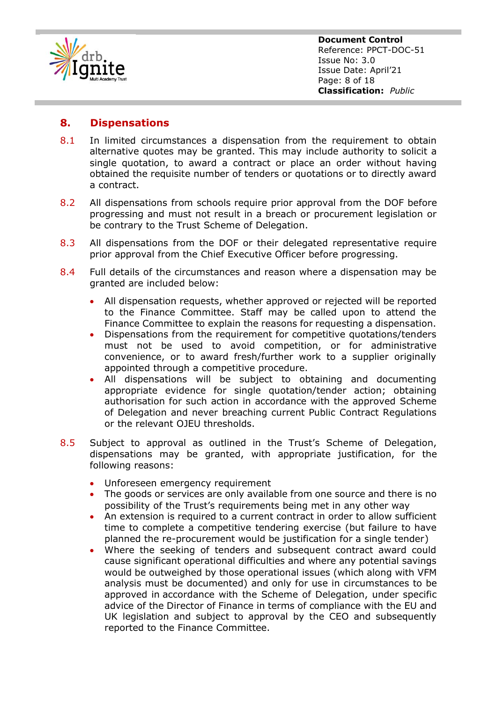

#### <span id="page-7-0"></span>**8. Dispensations**

- 8.1 In limited circumstances a dispensation from the requirement to obtain alternative quotes may be granted. This may include authority to solicit a single quotation, to award a contract or place an order without having obtained the requisite number of tenders or quotations or to directly award a contract.
- 8.2 All dispensations from schools require prior approval from the DOF before progressing and must not result in a breach or procurement legislation or be contrary to the Trust Scheme of Delegation.
- 8.3 All dispensations from the DOF or their delegated representative require prior approval from the Chief Executive Officer before progressing.
- 8.4 Full details of the circumstances and reason where a dispensation may be granted are included below:
	- All dispensation requests, whether approved or rejected will be reported to the Finance Committee. Staff may be called upon to attend the Finance Committee to explain the reasons for requesting a dispensation.
	- Dispensations from the requirement for competitive quotations/tenders must not be used to avoid competition, or for administrative convenience, or to award fresh/further work to a supplier originally appointed through a competitive procedure.
	- All dispensations will be subject to obtaining and documenting appropriate evidence for single quotation/tender action; obtaining authorisation for such action in accordance with the approved Scheme of Delegation and never breaching current Public Contract Regulations or the relevant OJEU thresholds.
- 8.5 Subject to approval as outlined in the Trust's Scheme of Delegation, dispensations may be granted, with appropriate justification, for the following reasons:
	- Unforeseen emergency requirement
	- The goods or services are only available from one source and there is no possibility of the Trust's requirements being met in any other way
	- An extension is required to a current contract in order to allow sufficient time to complete a competitive tendering exercise (but failure to have planned the re-procurement would be justification for a single tender)
	- Where the seeking of tenders and subsequent contract award could cause significant operational difficulties and where any potential savings would be outweighed by those operational issues (which along with VFM analysis must be documented) and only for use in circumstances to be approved in accordance with the Scheme of Delegation, under specific advice of the Director of Finance in terms of compliance with the EU and UK legislation and subject to approval by the CEO and subsequently reported to the Finance Committee.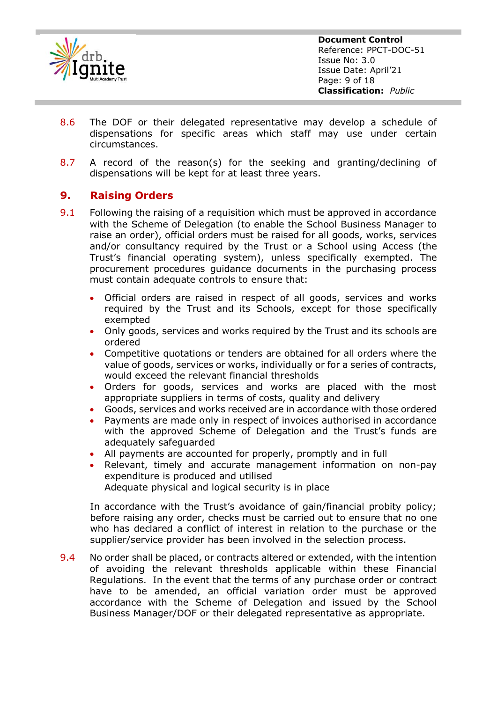

**Document Control** Reference: PPCT-DOC-51 Issue No: 3.0 Issue Date: April'21 Page: 9 of 18 **Classification:** *Public*

- 8.6 The DOF or their delegated representative may develop a schedule of dispensations for specific areas which staff may use under certain circumstances.
- 8.7 A record of the reason(s) for the seeking and granting/declining of dispensations will be kept for at least three years.

#### <span id="page-8-0"></span>**9. Raising Orders**

- 9.1 Following the raising of a requisition which must be approved in accordance with the Scheme of Delegation (to enable the School Business Manager to raise an order), official orders must be raised for all goods, works, services and/or consultancy required by the Trust or a School using Access (the Trust's financial operating system), unless specifically exempted. The procurement procedures guidance documents in the purchasing process must contain adequate controls to ensure that:
	- Official orders are raised in respect of all goods, services and works required by the Trust and its Schools, except for those specifically exempted
	- Only goods, services and works required by the Trust and its schools are ordered
	- Competitive quotations or tenders are obtained for all orders where the value of goods, services or works, individually or for a series of contracts, would exceed the relevant financial thresholds
	- Orders for goods, services and works are placed with the most appropriate suppliers in terms of costs, quality and delivery
	- Goods, services and works received are in accordance with those ordered
	- Payments are made only in respect of invoices authorised in accordance with the approved Scheme of Delegation and the Trust's funds are adequately safeguarded
	- All payments are accounted for properly, promptly and in full
	- Relevant, timely and accurate management information on non-pay expenditure is produced and utilised Adequate physical and logical security is in place

In accordance with the Trust's avoidance of gain/financial probity policy; before raising any order, checks must be carried out to ensure that no one who has declared a conflict of interest in relation to the purchase or the supplier/service provider has been involved in the selection process.

9.4 No order shall be placed, or contracts altered or extended, with the intention of avoiding the relevant thresholds applicable within these Financial Regulations. In the event that the terms of any purchase order or contract have to be amended, an official variation order must be approved accordance with the Scheme of Delegation and issued by the School Business Manager/DOF or their delegated representative as appropriate.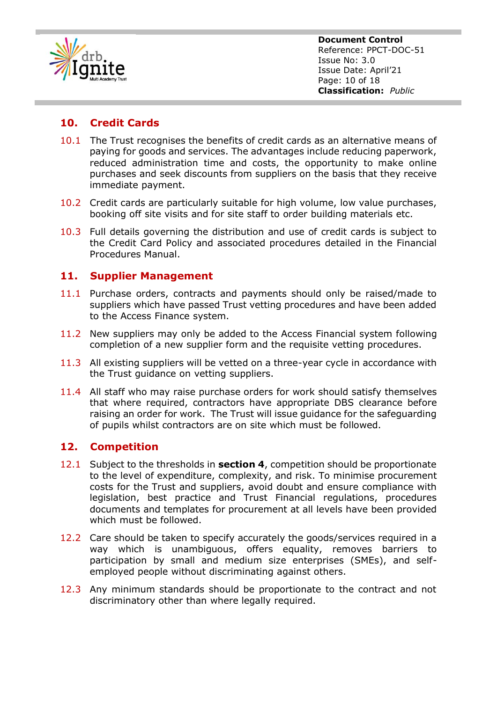

## <span id="page-9-0"></span>**10. Credit Cards**

- 10.1 The Trust recognises the benefits of credit cards as an alternative means of paying for goods and services. The advantages include reducing paperwork, reduced administration time and costs, the opportunity to make online purchases and seek discounts from suppliers on the basis that they receive immediate payment.
- 10.2 Credit cards are particularly suitable for high volume, low value purchases, booking off site visits and for site staff to order building materials etc.
- 10.3 Full details governing the distribution and use of credit cards is subject to the Credit Card Policy and associated procedures detailed in the Financial Procedures Manual.

#### <span id="page-9-1"></span>**11. Supplier Management**

- 11.1 Purchase orders, contracts and payments should only be raised/made to suppliers which have passed Trust vetting procedures and have been added to the Access Finance system.
- 11.2 New suppliers may only be added to the Access Financial system following completion of a new supplier form and the requisite vetting procedures.
- 11.3 All existing suppliers will be vetted on a three-year cycle in accordance with the Trust guidance on vetting suppliers.
- 11.4 All staff who may raise purchase orders for work should satisfy themselves that where required, contractors have appropriate DBS clearance before raising an order for work. The Trust will issue guidance for the safeguarding of pupils whilst contractors are on site which must be followed.

#### <span id="page-9-2"></span>**12. Competition**

- 12.1 Subject to the thresholds in **section 4**, competition should be proportionate to the level of expenditure, complexity, and risk. To minimise procurement costs for the Trust and suppliers, avoid doubt and ensure compliance with legislation, best practice and Trust Financial regulations, procedures documents and templates for procurement at all levels have been provided which must be followed.
- 12.2 Care should be taken to specify accurately the goods/services required in a way which is unambiguous, offers equality, removes barriers to participation by small and medium size enterprises (SMEs), and selfemployed people without discriminating against others.
- 12.3 Any minimum standards should be proportionate to the contract and not discriminatory other than where legally required.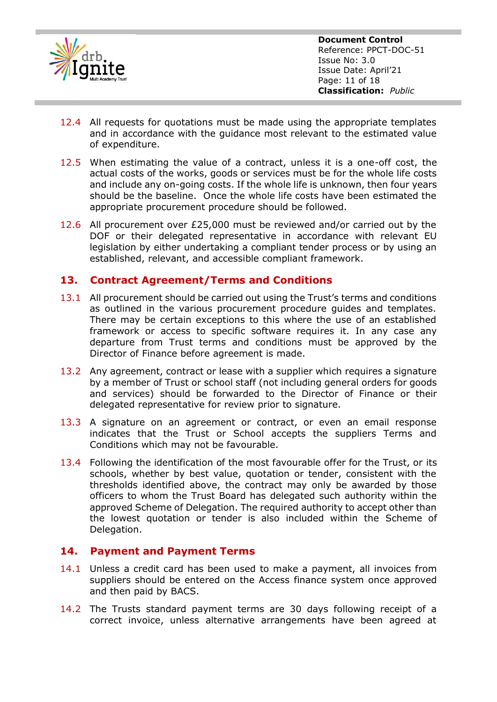

- 12.4 All requests for quotations must be made using the appropriate templates and in accordance with the guidance most relevant to the estimated value of expenditure.
- 12.5 When estimating the value of a contract, unless it is a one-off cost, the actual costs of the works, goods or services must be for the whole life costs and include any on-going costs. If the whole life is unknown, then four years should be the baseline. Once the whole life costs have been estimated the appropriate procurement procedure should be followed.
- 12.6 All procurement over £25,000 must be reviewed and/or carried out by the DOF or their delegated representative in accordance with relevant EU legislation by either undertaking a compliant tender process or by using an established, relevant, and accessible compliant framework.

#### <span id="page-10-0"></span>**13. Contract Agreement/Terms and Conditions**

- 13.1 All procurement should be carried out using the Trust's terms and conditions as outlined in the various procurement procedure guides and templates. There may be certain exceptions to this where the use of an established framework or access to specific software requires it. In any case any departure from Trust terms and conditions must be approved by the Director of Finance before agreement is made.
- 13.2 Any agreement, contract or lease with a supplier which requires a signature by a member of Trust or school staff (not including general orders for goods and services) should be forwarded to the Director of Finance or their delegated representative for review prior to signature.
- 13.3 A signature on an agreement or contract, or even an email response indicates that the Trust or School accepts the suppliers Terms and Conditions which may not be favourable.
- 13.4 Following the identification of the most favourable offer for the Trust, or its schools, whether by best value, quotation or tender, consistent with the thresholds identified above, the contract may only be awarded by those officers to whom the Trust Board has delegated such authority within the approved Scheme of Delegation. The required authority to accept other than the lowest quotation or tender is also included within the Scheme of Delegation.

#### <span id="page-10-1"></span>**14. Payment and Payment Terms**

- 14.1 Unless a credit card has been used to make a payment, all invoices from suppliers should be entered on the Access finance system once approved and then paid by BACS.
- 14.2 The Trusts standard payment terms are 30 days following receipt of a correct invoice, unless alternative arrangements have been agreed at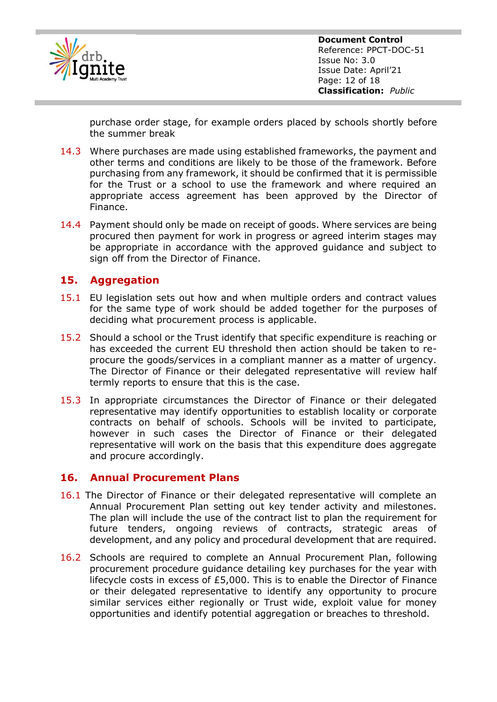

purchase order stage, for example orders placed by schools shortly before the summer break

- 14.3 Where purchases are made using established frameworks, the payment and other terms and conditions are likely to be those of the framework. Before purchasing from any framework, it should be confirmed that it is permissible for the Trust or a school to use the framework and where required an appropriate access agreement has been approved by the Director of Finance.
- 14.4 Payment should only be made on receipt of goods. Where services are being procured then payment for work in progress or agreed interim stages may be appropriate in accordance with the approved guidance and subject to sign off from the Director of Finance.

### <span id="page-11-0"></span>**15. Aggregation**

- 15.1 EU legislation sets out how and when multiple orders and contract values for the same type of work should be added together for the purposes of deciding what procurement process is applicable.
- 15.2 Should a school or the Trust identify that specific expenditure is reaching or has exceeded the current EU threshold then action should be taken to reprocure the goods/services in a compliant manner as a matter of urgency. The Director of Finance or their delegated representative will review half termly reports to ensure that this is the case.
- 15.3 In appropriate circumstances the Director of Finance or their delegated representative may identify opportunities to establish locality or corporate contracts on behalf of schools. Schools will be invited to participate, however in such cases the Director of Finance or their delegated representative will work on the basis that this expenditure does aggregate and procure accordingly.

#### <span id="page-11-1"></span>**16. Annual Procurement Plans**

- 16.1 The Director of Finance or their delegated representative will complete an Annual Procurement Plan setting out key tender activity and milestones. The plan will include the use of the contract list to plan the requirement for future tenders, ongoing reviews of contracts, strategic areas of development, and any policy and procedural development that are required.
- 16.2 Schools are required to complete an Annual Procurement Plan, following procurement procedure guidance detailing key purchases for the year with lifecycle costs in excess of £5,000. This is to enable the Director of Finance or their delegated representative to identify any opportunity to procure similar services either regionally or Trust wide, exploit value for money opportunities and identify potential aggregation or breaches to threshold.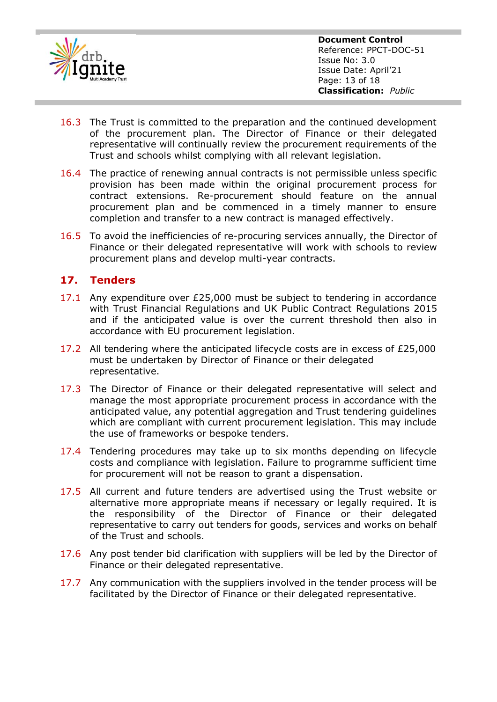

**Document Control** Reference: PPCT-DOC-51 Issue No: 3.0 Issue Date: April'21 Page: 13 of 18 **Classification:** *Public*

- 16.3 The Trust is committed to the preparation and the continued development of the procurement plan. The Director of Finance or their delegated representative will continually review the procurement requirements of the Trust and schools whilst complying with all relevant legislation.
- 16.4 The practice of renewing annual contracts is not permissible unless specific provision has been made within the original procurement process for contract extensions. Re-procurement should feature on the annual procurement plan and be commenced in a timely manner to ensure completion and transfer to a new contract is managed effectively.
- 16.5 To avoid the inefficiencies of re-procuring services annually, the Director of Finance or their delegated representative will work with schools to review procurement plans and develop multi-year contracts.

### <span id="page-12-0"></span>**17. Tenders**

- 17.1 Any expenditure over £25,000 must be subject to tendering in accordance with Trust Financial Regulations and UK Public Contract Regulations 2015 and if the anticipated value is over the current threshold then also in accordance with EU procurement legislation.
- 17.2 All tendering where the anticipated lifecycle costs are in excess of £25,000 must be undertaken by Director of Finance or their delegated representative.
- 17.3 The Director of Finance or their delegated representative will select and manage the most appropriate procurement process in accordance with the anticipated value, any potential aggregation and Trust tendering guidelines which are compliant with current procurement legislation. This may include the use of frameworks or bespoke tenders.
- 17.4 Tendering procedures may take up to six months depending on lifecycle costs and compliance with legislation. Failure to programme sufficient time for procurement will not be reason to grant a dispensation.
- 17.5 All current and future tenders are advertised using the Trust website or alternative more appropriate means if necessary or legally required. It is the responsibility of the Director of Finance or their delegated representative to carry out tenders for goods, services and works on behalf of the Trust and schools.
- 17.6 Any post tender bid clarification with suppliers will be led by the Director of Finance or their delegated representative.
- 17.7 Any communication with the suppliers involved in the tender process will be facilitated by the Director of Finance or their delegated representative.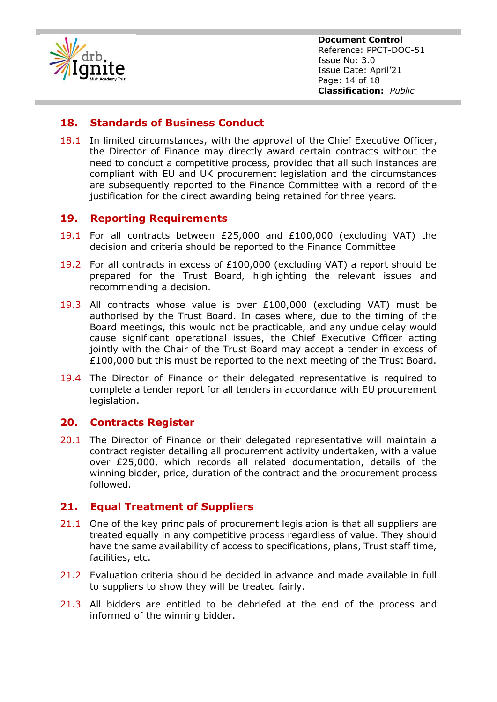

**Document Control** Reference: PPCT-DOC-51 Issue No: 3.0 Issue Date: April'21 Page: 14 of 18 **Classification:** *Public*

#### <span id="page-13-0"></span>**18. Standards of Business Conduct**

18.1 In limited circumstances, with the approval of the Chief Executive Officer, the Director of Finance may directly award certain contracts without the need to conduct a competitive process, provided that all such instances are compliant with EU and UK procurement legislation and the circumstances are subsequently reported to the Finance Committee with a record of the justification for the direct awarding being retained for three years.

#### <span id="page-13-1"></span>**19. Reporting Requirements**

- 19.1 For all contracts between £25,000 and £100,000 (excluding VAT) the decision and criteria should be reported to the Finance Committee
- 19.2 For all contracts in excess of £100,000 (excluding VAT) a report should be prepared for the Trust Board, highlighting the relevant issues and recommending a decision.
- 19.3 All contracts whose value is over £100,000 (excluding VAT) must be authorised by the Trust Board. In cases where, due to the timing of the Board meetings, this would not be practicable, and any undue delay would cause significant operational issues, the Chief Executive Officer acting jointly with the Chair of the Trust Board may accept a tender in excess of £100,000 but this must be reported to the next meeting of the Trust Board.
- 19.4 The Director of Finance or their delegated representative is required to complete a tender report for all tenders in accordance with EU procurement legislation.

#### <span id="page-13-2"></span>**20. Contracts Register**

20.1 The Director of Finance or their delegated representative will maintain a contract register detailing all procurement activity undertaken, with a value over £25,000, which records all related documentation, details of the winning bidder, price, duration of the contract and the procurement process followed.

#### <span id="page-13-3"></span>**21. Equal Treatment of Suppliers**

- 21.1 One of the key principals of procurement legislation is that all suppliers are treated equally in any competitive process regardless of value. They should have the same availability of access to specifications, plans, Trust staff time, facilities, etc.
- 21.2 Evaluation criteria should be decided in advance and made available in full to suppliers to show they will be treated fairly.
- 21.3 All bidders are entitled to be debriefed at the end of the process and informed of the winning bidder.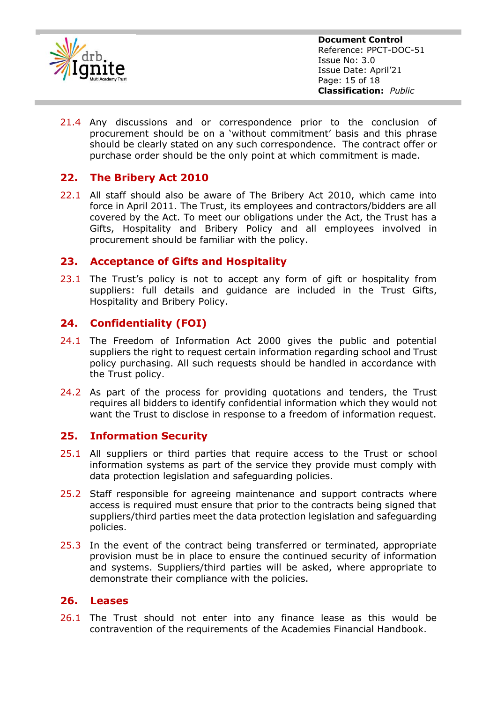

**Document Control** Reference: PPCT-DOC-51 Issue No: 3.0 Issue Date: April'21 Page: 15 of 18 **Classification:** *Public*

21.4 Any discussions and or correspondence prior to the conclusion of procurement should be on a 'without commitment' basis and this phrase should be clearly stated on any such correspondence. The contract offer or purchase order should be the only point at which commitment is made.

#### <span id="page-14-0"></span>**22. The Bribery Act 2010**

22.1 All staff should also be aware of The Bribery Act 2010, which came into force in April 2011. The Trust, its employees and contractors/bidders are all covered by the Act. To meet our obligations under the Act, the Trust has a Gifts, Hospitality and Bribery Policy and all employees involved in procurement should be familiar with the policy.

#### <span id="page-14-1"></span>**23. Acceptance of Gifts and Hospitality**

23.1 The Trust's policy is not to accept any form of gift or hospitality from suppliers: full details and guidance are included in the Trust Gifts, Hospitality and Bribery Policy.

### <span id="page-14-2"></span>**24. Confidentiality (FOI)**

- 24.1 The Freedom of Information Act 2000 gives the public and potential suppliers the right to request certain information regarding school and Trust policy purchasing. All such requests should be handled in accordance with the Trust policy.
- 24.2 As part of the process for providing quotations and tenders, the Trust requires all bidders to identify confidential information which they would not want the Trust to disclose in response to a freedom of information request.

#### <span id="page-14-3"></span>**25. Information Security**

- 25.1 All suppliers or third parties that require access to the Trust or school information systems as part of the service they provide must comply with data protection legislation and safeguarding policies.
- 25.2 Staff responsible for agreeing maintenance and support contracts where access is required must ensure that prior to the contracts being signed that suppliers/third parties meet the data protection legislation and safeguarding policies.
- 25.3 In the event of the contract being transferred or terminated, appropriate provision must be in place to ensure the continued security of information and systems. Suppliers/third parties will be asked, where appropriate to demonstrate their compliance with the policies.

#### <span id="page-14-4"></span>**26. Leases**

26.1 The Trust should not enter into any finance lease as this would be contravention of the requirements of the Academies Financial Handbook.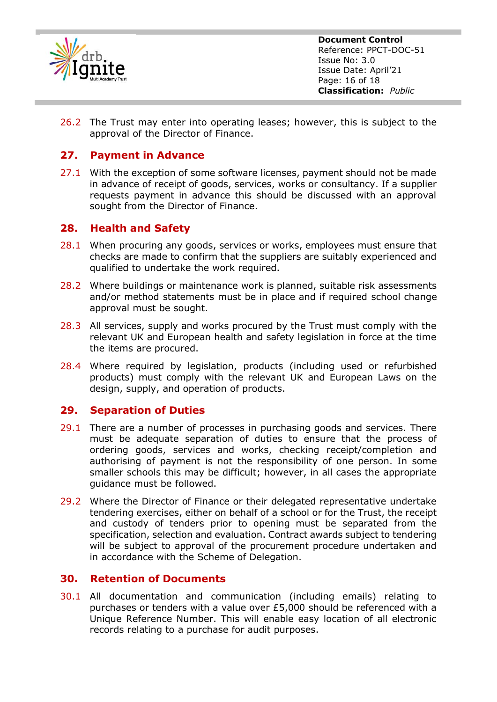

**Document Control** Reference: PPCT-DOC-51 Issue No: 3.0 Issue Date: April'21 Page: 16 of 18 **Classification:** *Public*

26.2 The Trust may enter into operating leases; however, this is subject to the approval of the Director of Finance.

#### <span id="page-15-0"></span>**27. Payment in Advance**

27.1 With the exception of some software licenses, payment should not be made in advance of receipt of goods, services, works or consultancy. If a supplier requests payment in advance this should be discussed with an approval sought from the Director of Finance.

#### <span id="page-15-1"></span>**28. Health and Safety**

- 28.1 When procuring any goods, services or works, employees must ensure that checks are made to confirm that the suppliers are suitably experienced and qualified to undertake the work required.
- 28.2 Where buildings or maintenance work is planned, suitable risk assessments and/or method statements must be in place and if required school change approval must be sought.
- 28.3 All services, supply and works procured by the Trust must comply with the relevant UK and European health and safety legislation in force at the time the items are procured.
- 28.4 Where required by legislation, products (including used or refurbished products) must comply with the relevant UK and European Laws on the design, supply, and operation of products.

#### <span id="page-15-2"></span>**29. Separation of Duties**

- 29.1 There are a number of processes in purchasing goods and services. There must be adequate separation of duties to ensure that the process of ordering goods, services and works, checking receipt/completion and authorising of payment is not the responsibility of one person. In some smaller schools this may be difficult; however, in all cases the appropriate guidance must be followed.
- 29.2 Where the Director of Finance or their delegated representative undertake tendering exercises, either on behalf of a school or for the Trust, the receipt and custody of tenders prior to opening must be separated from the specification, selection and evaluation. Contract awards subject to tendering will be subject to approval of the procurement procedure undertaken and in accordance with the Scheme of Delegation.

#### <span id="page-15-3"></span>**30. Retention of Documents**

30.1 All documentation and communication (including emails) relating to purchases or tenders with a value over £5,000 should be referenced with a Unique Reference Number. This will enable easy location of all electronic records relating to a purchase for audit purposes.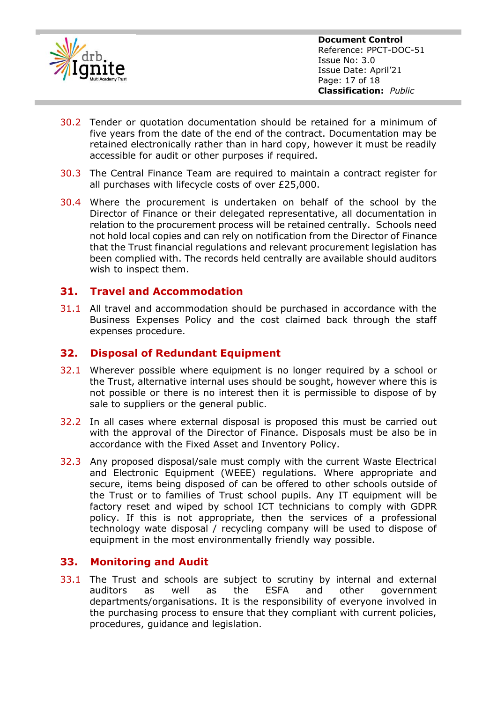

- 30.2 Tender or quotation documentation should be retained for a minimum of five years from the date of the end of the contract. Documentation may be retained electronically rather than in hard copy, however it must be readily accessible for audit or other purposes if required.
- 30.3 The Central Finance Team are required to maintain a contract register for all purchases with lifecycle costs of over £25,000.
- 30.4 Where the procurement is undertaken on behalf of the school by the Director of Finance or their delegated representative, all documentation in relation to the procurement process will be retained centrally. Schools need not hold local copies and can rely on notification from the Director of Finance that the Trust financial regulations and relevant procurement legislation has been complied with. The records held centrally are available should auditors wish to inspect them.

#### <span id="page-16-0"></span>**31. Travel and Accommodation**

31.1 All travel and accommodation should be purchased in accordance with the Business Expenses Policy and the cost claimed back through the staff expenses procedure.

#### <span id="page-16-1"></span>**32. Disposal of Redundant Equipment**

- 32.1 Wherever possible where equipment is no longer required by a school or the Trust, alternative internal uses should be sought, however where this is not possible or there is no interest then it is permissible to dispose of by sale to suppliers or the general public.
- 32.2 In all cases where external disposal is proposed this must be carried out with the approval of the Director of Finance. Disposals must be also be in accordance with the Fixed Asset and Inventory Policy.
- 32.3 Any proposed disposal/sale must comply with the current Waste Electrical and Electronic Equipment (WEEE) regulations. Where appropriate and secure, items being disposed of can be offered to other schools outside of the Trust or to families of Trust school pupils. Any IT equipment will be factory reset and wiped by school ICT technicians to comply with GDPR policy. If this is not appropriate, then the services of a professional technology wate disposal / recycling company will be used to dispose of equipment in the most environmentally friendly way possible.

#### <span id="page-16-2"></span>**33. Monitoring and Audit**

33.1 The Trust and schools are subject to scrutiny by internal and external auditors as well as the ESFA and other government departments/organisations. It is the responsibility of everyone involved in the purchasing process to ensure that they compliant with current policies, procedures, guidance and legislation.